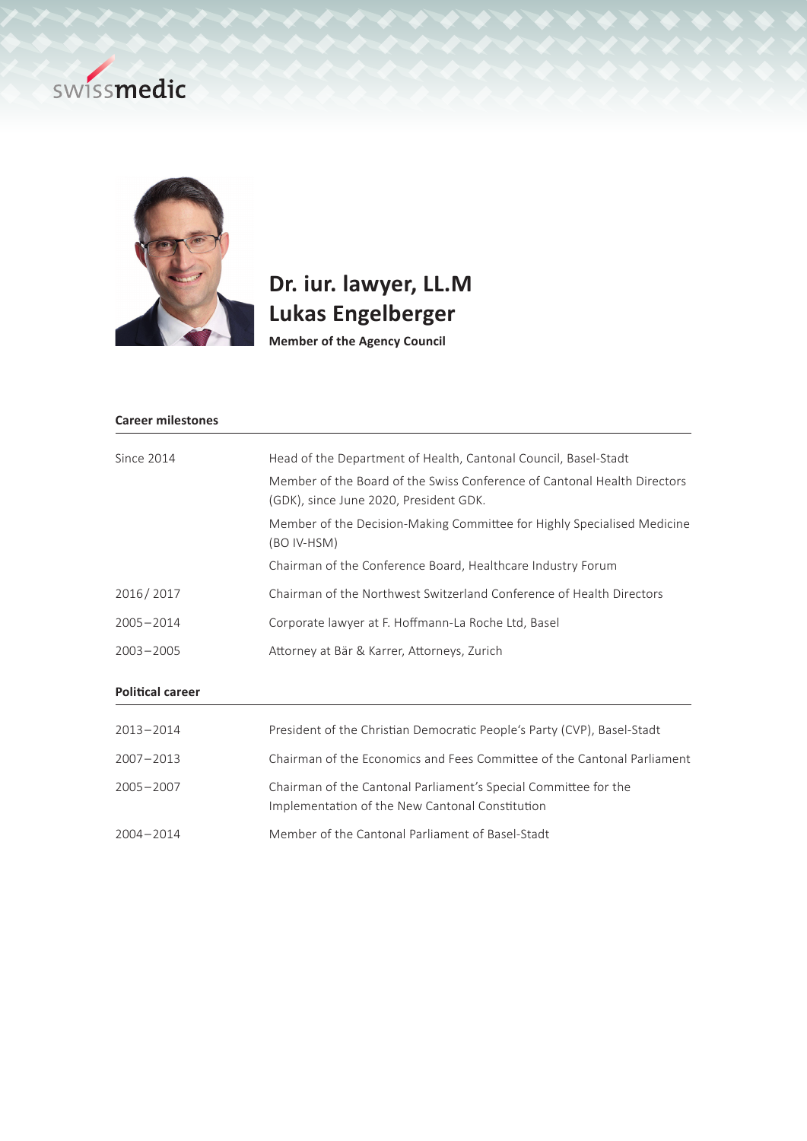## swissmedic



## **Dr. iur. lawyer, LL.M Lukas Engelberger**

**Member of the Agency Council**

| <b>Career milestones</b> |                                                                                                                    |
|--------------------------|--------------------------------------------------------------------------------------------------------------------|
| Since 2014               | Head of the Department of Health, Cantonal Council, Basel-Stadt                                                    |
|                          | Member of the Board of the Swiss Conference of Cantonal Health Directors<br>(GDK), since June 2020, President GDK. |
|                          | Member of the Decision-Making Committee for Highly Specialised Medicine<br>(BO IV-HSM)                             |
|                          | Chairman of the Conference Board, Healthcare Industry Forum                                                        |
| 2016/2017                | Chairman of the Northwest Switzerland Conference of Health Directors                                               |
| $2005 - 2014$            | Corporate lawyer at F. Hoffmann-La Roche Ltd, Basel                                                                |
| $2003 - 2005$            | Attorney at Bär & Karrer, Attorneys, Zurich                                                                        |
| <b>Political career</b>  |                                                                                                                    |
| $2013 - 2014$            | President of the Christian Democratic People's Party (CVP), Basel-Stadt                                            |

| 2007-2013 | Chairman of the Economics and Fees Committee of the Cantonal Parliament                                            |
|-----------|--------------------------------------------------------------------------------------------------------------------|
| 2005-2007 | Chairman of the Cantonal Parliament's Special Committee for the<br>Implementation of the New Cantonal Constitution |
|           |                                                                                                                    |

2004 – 2014 Member of the Cantonal Parliament of Basel-Stadt